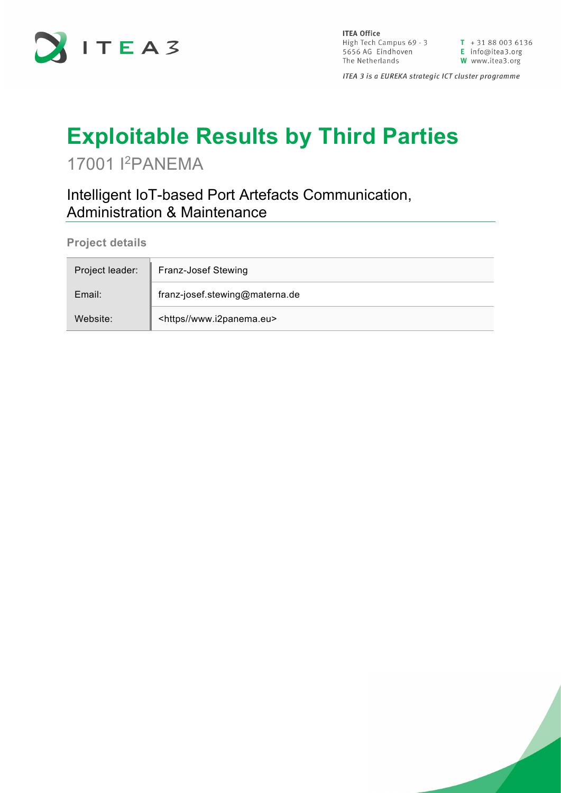

**ITEA Office** High Tech Campus  $69 - 3$ <br>  $\overline{1} + 31880036136$ <br>  $\overline{5656}$  AG Eindhoven<br>  $\overline{1}$  Info@itea3.org<br>
The Netherlands<br>  $\overline{1}$  W www.itea3.org The Netherlands

W www.itea3.org

ITEA 3 is a EUREKA strategic ICT cluster programme

## **Exploitable Results by Third Parties**

17001 I 2PANEMA

Intelligent IoT-based Port Artefacts Communication, Administration & Maintenance

**Project details**

| Project leader: | Franz-Josef Stewing                |
|-----------------|------------------------------------|
| Email:          | franz-josef.stewing@materna.de     |
| Website:        | <https www.i2panema.eu=""></https> |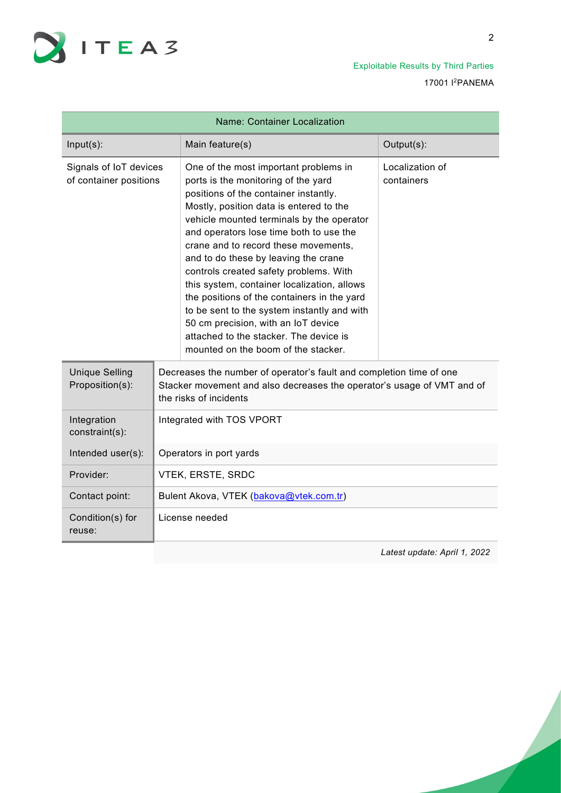

Exploitable Results by Third Parties 17001 I2PANEMA

| <b>Name: Container Localization</b>              |                                                                                                                                                                                                                                                                                                                                                                                                                                                                                                                                                                                                                                                         |                               |  |
|--------------------------------------------------|---------------------------------------------------------------------------------------------------------------------------------------------------------------------------------------------------------------------------------------------------------------------------------------------------------------------------------------------------------------------------------------------------------------------------------------------------------------------------------------------------------------------------------------------------------------------------------------------------------------------------------------------------------|-------------------------------|--|
| $Input(s)$ :                                     | Main feature(s)                                                                                                                                                                                                                                                                                                                                                                                                                                                                                                                                                                                                                                         | Output(s):                    |  |
| Signals of IoT devices<br>of container positions | One of the most important problems in<br>ports is the monitoring of the yard<br>positions of the container instantly.<br>Mostly, position data is entered to the<br>vehicle mounted terminals by the operator<br>and operators lose time both to use the<br>crane and to record these movements,<br>and to do these by leaving the crane<br>controls created safety problems. With<br>this system, container localization, allows<br>the positions of the containers in the yard<br>to be sent to the system instantly and with<br>50 cm precision, with an IoT device<br>attached to the stacker. The device is<br>mounted on the boom of the stacker. | Localization of<br>containers |  |
| <b>Unique Selling</b><br>Proposition(s):         | Decreases the number of operator's fault and completion time of one<br>Stacker movement and also decreases the operator's usage of VMT and of<br>the risks of incidents                                                                                                                                                                                                                                                                                                                                                                                                                                                                                 |                               |  |
| Integration<br>constraint(s):                    | Integrated with TOS VPORT                                                                                                                                                                                                                                                                                                                                                                                                                                                                                                                                                                                                                               |                               |  |
| Intended user(s):                                | Operators in port yards                                                                                                                                                                                                                                                                                                                                                                                                                                                                                                                                                                                                                                 |                               |  |
| Provider:                                        | VTEK, ERSTE, SRDC                                                                                                                                                                                                                                                                                                                                                                                                                                                                                                                                                                                                                                       |                               |  |
| Contact point:                                   | Bulent Akova, VTEK (bakova@vtek.com.tr)                                                                                                                                                                                                                                                                                                                                                                                                                                                                                                                                                                                                                 |                               |  |
| Condition(s) for<br>reuse:                       | License needed                                                                                                                                                                                                                                                                                                                                                                                                                                                                                                                                                                                                                                          |                               |  |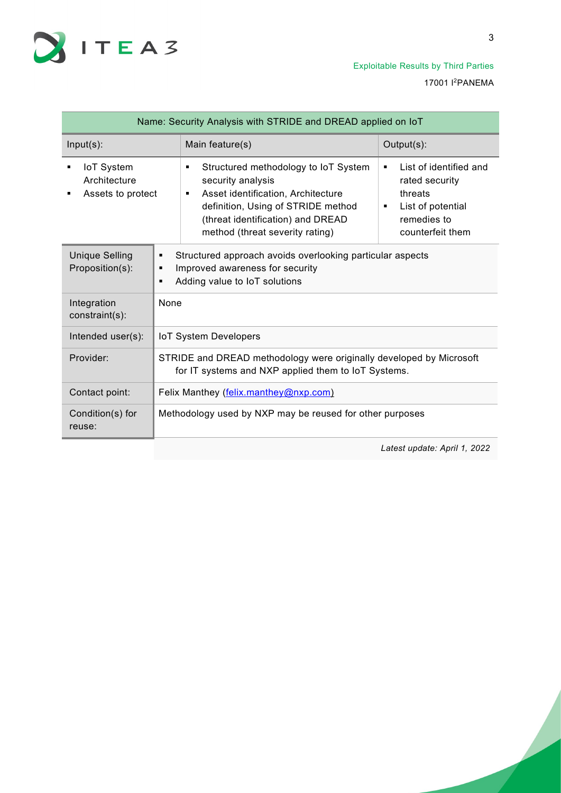

| Name: Security Analysis with STRIDE and DREAD applied on IoT |                                                                                                                                         |                                                                                                                                                                                                                         |                                                                                                                       |
|--------------------------------------------------------------|-----------------------------------------------------------------------------------------------------------------------------------------|-------------------------------------------------------------------------------------------------------------------------------------------------------------------------------------------------------------------------|-----------------------------------------------------------------------------------------------------------------------|
| $Input(s)$ :                                                 |                                                                                                                                         | Main feature(s)                                                                                                                                                                                                         | Output(s):                                                                                                            |
| <b>IoT System</b><br>Architecture<br>Assets to protect       |                                                                                                                                         | Structured methodology to IoT System<br>٠<br>security analysis<br>Asset identification, Architecture<br>٠<br>definition, Using of STRIDE method<br>(threat identification) and DREAD<br>method (threat severity rating) | List of identified and<br>٠<br>rated security<br>threats<br>List of potential<br>٠<br>remedies to<br>counterfeit them |
| <b>Unique Selling</b><br>Proposition(s):                     | Structured approach avoids overlooking particular aspects<br>٠<br>Improved awareness for security<br>٠<br>Adding value to IoT solutions |                                                                                                                                                                                                                         |                                                                                                                       |
| Integration<br>constraint(s):                                | None                                                                                                                                    |                                                                                                                                                                                                                         |                                                                                                                       |
| Intended user(s):                                            | IoT System Developers                                                                                                                   |                                                                                                                                                                                                                         |                                                                                                                       |
| Provider:                                                    | STRIDE and DREAD methodology were originally developed by Microsoft<br>for IT systems and NXP applied them to IoT Systems.              |                                                                                                                                                                                                                         |                                                                                                                       |
| Contact point:                                               | Felix Manthey (felix.manthey@nxp.com)                                                                                                   |                                                                                                                                                                                                                         |                                                                                                                       |
| Condition(s) for<br>reuse:                                   | Methodology used by NXP may be reused for other purposes                                                                                |                                                                                                                                                                                                                         |                                                                                                                       |
|                                                              |                                                                                                                                         |                                                                                                                                                                                                                         | Latest update: April 1, 2022                                                                                          |

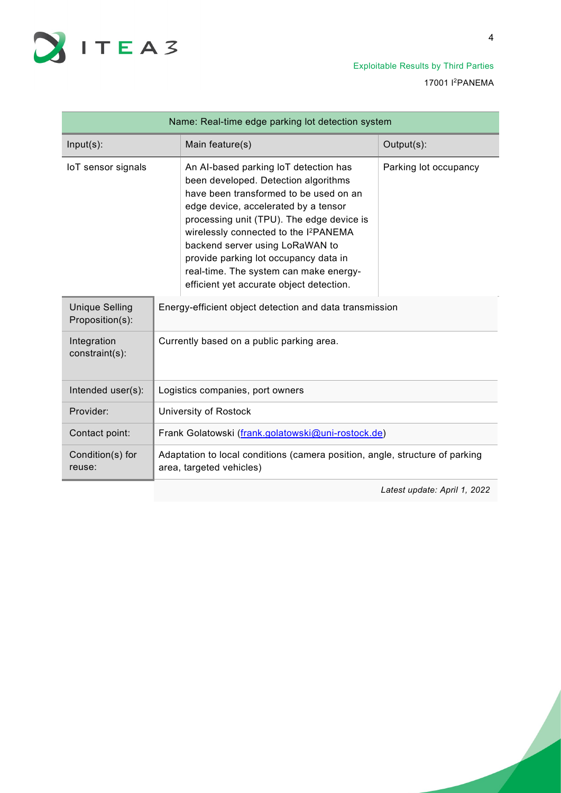

Exploitable Results by Third Parties 17001 I2PANEMA

| Name: Real-time edge parking lot detection system |                                                                                                                                                                                                                                                                                                                                                                                                                                     |                       |  |
|---------------------------------------------------|-------------------------------------------------------------------------------------------------------------------------------------------------------------------------------------------------------------------------------------------------------------------------------------------------------------------------------------------------------------------------------------------------------------------------------------|-----------------------|--|
| $Input(s)$ :                                      | Main feature(s)                                                                                                                                                                                                                                                                                                                                                                                                                     | Output(s):            |  |
| IoT sensor signals                                | An Al-based parking IoT detection has<br>been developed. Detection algorithms<br>have been transformed to be used on an<br>edge device, accelerated by a tensor<br>processing unit (TPU). The edge device is<br>wirelessly connected to the I <sup>2</sup> PANEMA<br>backend server using LoRaWAN to<br>provide parking lot occupancy data in<br>real-time. The system can make energy-<br>efficient yet accurate object detection. | Parking lot occupancy |  |
| <b>Unique Selling</b><br>Proposition(s):          | Energy-efficient object detection and data transmission                                                                                                                                                                                                                                                                                                                                                                             |                       |  |
| Integration<br>constraint(s):                     | Currently based on a public parking area.                                                                                                                                                                                                                                                                                                                                                                                           |                       |  |
| Intended user(s):                                 | Logistics companies, port owners                                                                                                                                                                                                                                                                                                                                                                                                    |                       |  |
| Provider:                                         | University of Rostock                                                                                                                                                                                                                                                                                                                                                                                                               |                       |  |
| Contact point:                                    | Frank Golatowski (frank.golatowski@uni-rostock.de)                                                                                                                                                                                                                                                                                                                                                                                  |                       |  |
| Condition(s) for<br>reuse:                        | Adaptation to local conditions (camera position, angle, structure of parking<br>area, targeted vehicles)                                                                                                                                                                                                                                                                                                                            |                       |  |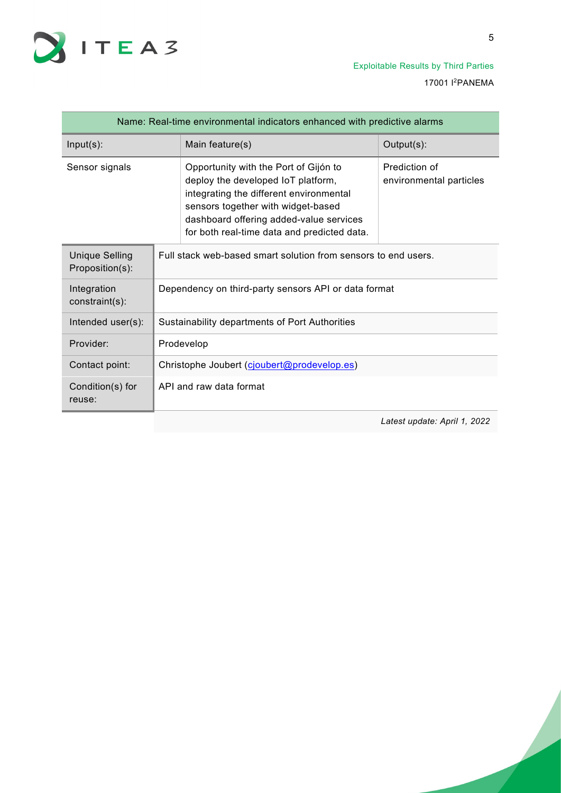

| Name: Real-time environmental indicators enhanced with predictive alarms |                                                                |                                                                                                                                                                                                                                                        |                                          |
|--------------------------------------------------------------------------|----------------------------------------------------------------|--------------------------------------------------------------------------------------------------------------------------------------------------------------------------------------------------------------------------------------------------------|------------------------------------------|
| $Input(s)$ :                                                             |                                                                | Main feature(s)                                                                                                                                                                                                                                        | Output(s):                               |
| Sensor signals                                                           |                                                                | Opportunity with the Port of Gijón to<br>deploy the developed IoT platform,<br>integrating the different environmental<br>sensors together with widget-based<br>dashboard offering added-value services<br>for both real-time data and predicted data. | Prediction of<br>environmental particles |
| <b>Unique Selling</b><br>Proposition(s):                                 | Full stack web-based smart solution from sensors to end users. |                                                                                                                                                                                                                                                        |                                          |
| Integration<br>constraint(s):                                            | Dependency on third-party sensors API or data format           |                                                                                                                                                                                                                                                        |                                          |
| Intended user(s):                                                        | Sustainability departments of Port Authorities                 |                                                                                                                                                                                                                                                        |                                          |
| Provider:                                                                | Prodevelop                                                     |                                                                                                                                                                                                                                                        |                                          |
| Contact point:                                                           | Christophe Joubert (cjoubert@prodevelop.es)                    |                                                                                                                                                                                                                                                        |                                          |
| Condition(s) for<br>reuse:                                               | API and raw data format                                        |                                                                                                                                                                                                                                                        |                                          |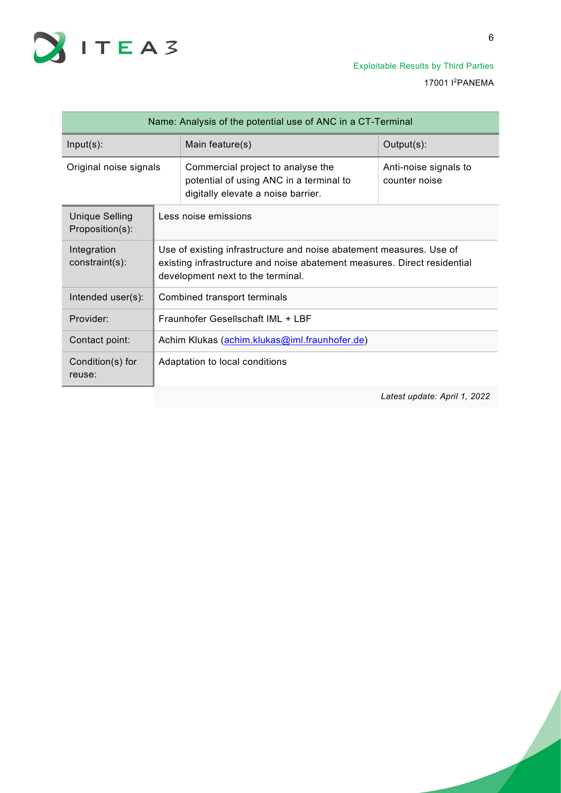

| Name: Analysis of the potential use of ANC in a CT-Terminal |                                                                                                                                                                                      |                                                                                                                    |                                        |
|-------------------------------------------------------------|--------------------------------------------------------------------------------------------------------------------------------------------------------------------------------------|--------------------------------------------------------------------------------------------------------------------|----------------------------------------|
| $Input(s)$ :                                                |                                                                                                                                                                                      | Main feature(s)                                                                                                    | Output(s):                             |
| Original noise signals                                      |                                                                                                                                                                                      | Commercial project to analyse the<br>potential of using ANC in a terminal to<br>digitally elevate a noise barrier. | Anti-noise signals to<br>counter noise |
| <b>Unique Selling</b><br>Proposition(s):                    | Less noise emissions                                                                                                                                                                 |                                                                                                                    |                                        |
| Integration<br>constraint(s):                               | Use of existing infrastructure and noise abatement measures. Use of<br>existing infrastructure and noise abatement measures. Direct residential<br>development next to the terminal. |                                                                                                                    |                                        |
| Intended user(s):                                           | Combined transport terminals                                                                                                                                                         |                                                                                                                    |                                        |
| Provider:                                                   | Fraunhofer Gesellschaft IML + LBF                                                                                                                                                    |                                                                                                                    |                                        |
| Contact point:                                              | Achim Klukas (achim.klukas@iml.fraunhofer.de)                                                                                                                                        |                                                                                                                    |                                        |
| Condition(s) for<br>reuse:                                  | Adaptation to local conditions                                                                                                                                                       |                                                                                                                    |                                        |
|                                                             |                                                                                                                                                                                      |                                                                                                                    | Latest update: April 1, 2022           |

6